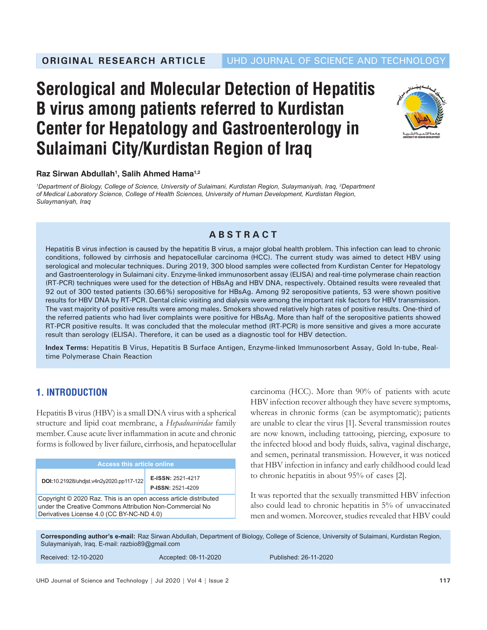

### **Raz Sirwan Abdullah1 , Salih Ahmed Hama1,2**

*1 Department of Biology, College of Science, University of Sulaimani, Kurdistan Region, Sulaymaniyah, Iraq, 2 Department of Medical Laboratory Science, College of Health Sciences, University of Human Development, Kurdistan Region, Sulaymaniyah, Iraq*

## **ABSTRACT**

Hepatitis B virus infection is caused by the hepatitis B virus, a major global health problem. This infection can lead to chronic conditions, followed by cirrhosis and hepatocellular carcinoma (HCC). The current study was aimed to detect HBV using serological and molecular techniques. During 2019, 300 blood samples were collected from Kurdistan Center for Hepatology and Gastroenterology in Sulaimani city. Enzyme-linked immunosorbent assay (ELISA) and real-time polymerase chain reaction (RT-PCR) techniques were used for the detection of HBsAg and HBV DNA, respectively. Obtained results were revealed that 92 out of 300 tested patients (30.66%) seropositive for HBsAg. Among 92 seropositive patients, 53 were shown positive results for HBV DNA by RT-PCR. Dental clinic visiting and dialysis were among the important risk factors for HBV transmission. The vast majority of positive results were among males. Smokers showed relatively high rates of positive results. One-third of the referred patients who had liver complaints were positive for HBsAg. More than half of the seropositive patients showed RT-PCR positive results. It was concluded that the molecular method (RT-PCR) is more sensitive and gives a more accurate result than serology (ELISA). Therefore, it can be used as a diagnostic tool for HBV detection.

**Index Terms:** Hepatitis B Virus, Hepatitis B Surface Antigen, Enzyme-linked Immunosorbent Assay, Gold In-tube, Realtime Polymerase Chain Reaction

# **1. INTRODUCTION**

Hepatitis B virus (HBV) is a small DNA virus with a spherical structure and lipid coat membrane, a *Hepadnaviridae* family member. Cause acute liver inflammation in acute and chronic forms is followed by liver failure, cirrhosis, and hepatocellular

| Access this article online                                                                                                                                                |                                               |  |
|---------------------------------------------------------------------------------------------------------------------------------------------------------------------------|-----------------------------------------------|--|
| DOI:10.21928/uhdjst.v4n2y2020.pp117-122                                                                                                                                   | E-ISSN: 2521-4217<br><b>P-ISSN: 2521-4209</b> |  |
| Copyright © 2020 Raz. This is an open access article distributed<br>under the Creative Commons Attribution Non-Commercial No<br>Derivatives License 4.0 (CC BY-NC-ND 4.0) |                                               |  |

carcinoma (HCC). More than 90% of patients with acute HBV infection recover although they have severe symptoms, whereas in chronic forms (can be asymptomatic); patients are unable to clear the virus [1]. Several transmission routes are now known, including tattooing, piercing, exposure to the infected blood and body fluids, saliva, vaginal discharge, and semen, perinatal transmission. However, it was noticed that HBV infection in infancy and early childhood could lead to chronic hepatitis in about 95% of cases [2].

It was reported that the sexually transmitted HBV infection also could lead to chronic hepatitis in 5% of unvaccinated men and women. Moreover, studies revealed that HBV could

**Corresponding author's e-mail:**  Raz Sirwan Abdullah, Department of Biology, College of Science, University of Sulaimani, Kurdistan Region, Sulaymaniyah, Iraq. E-mail: razbio89@gmail.com

Received: 12-10-2020 Accepted: 08-11-2020 Published: 26-11-2020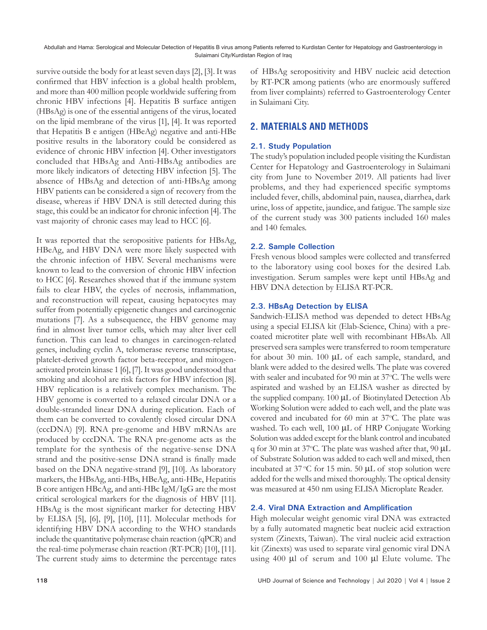survive outside the body for at least seven days [2], [3]. It was confirmed that HBV infection is a global health problem, and more than 400 million people worldwide suffering from chronic HBV infections [4]. Hepatitis B surface antigen (HBsAg) is one of the essential antigens of the virus, located on the lipid membrane of the virus [1], [4]. It was reported that Hepatitis B e antigen (HBeAg) negative and anti-HBe positive results in the laboratory could be considered as evidence of chronic HBV infection [4]. Other investigators concluded that HBsAg and Anti-HBsAg antibodies are more likely indicators of detecting HBV infection [5]. The absence of HBsAg and detection of anti-HBsAg among HBV patients can be considered a sign of recovery from the disease, whereas if HBV DNA is still detected during this stage, this could be an indicator for chronic infection [4]. The vast majority of chronic cases may lead to HCC [6].

It was reported that the seropositive patients for HBsAg, HBeAg, and HBV DNA were more likely suspected with the chronic infection of HBV. Several mechanisms were known to lead to the conversion of chronic HBV infection to HCC [6]. Researches showed that if the immune system fails to clear HBV, the cycles of necrosis, inflammation, and reconstruction will repeat, causing hepatocytes may suffer from potentially epigenetic changes and carcinogenic mutations [7]. As a subsequence, the HBV genome may find in almost liver tumor cells, which may alter liver cell function. This can lead to changes in carcinogen-related genes, including cyclin A, telomerase reverse transcriptase, platelet-derived growth factor beta-receptor, and mitogenactivated protein kinase 1 [6], [7]. It was good understood that smoking and alcohol are risk factors for HBV infection [8]. HBV replication is a relatively complex mechanism. The HBV genome is converted to a relaxed circular DNA or a double-stranded linear DNA during replication. Each of them can be converted to covalently closed circular DNA (cccDNA) [9]. RNA pre-genome and HBV mRNAs are produced by cccDNA. The RNA pre-genome acts as the template for the synthesis of the negative-sense DNA strand and the positive-sense DNA strand is finally made based on the DNA negative-strand [9], [10]. As laboratory markers, the HBsAg, anti-HBs, HBeAg, anti-HBe, Hepatitis B core antigen HBcAg, and anti-HBc IgM/IgG are the most critical serological markers for the diagnosis of HBV [11]. HBsAg is the most significant marker for detecting HBV by ELISA [5], [6], [9], [10], [11]. Molecular methods for identifying HBV DNA according to the WHO standards include the quantitative polymerase chain reaction (qPCR) and the real-time polymerase chain reaction (RT-PCR) [10], [11]. The current study aims to determine the percentage rates

of HBsAg seropositivity and HBV nucleic acid detection by RT-PCR among patients (who are enormously suffered from liver complaints) referred to Gastroenterology Center in Sulaimani City.

## **2. MATERIALS AND METHODS**

#### **2.1. Study Population**

The study's population included people visiting the Kurdistan Center for Hepatology and Gastroenterology in Sulaimani city from June to November 2019. All patients had liver problems, and they had experienced specific symptoms included fever, chills, abdominal pain, nausea, diarrhea, dark urine, loss of appetite, jaundice, and fatigue. The sample size of the current study was 300 patients included 160 males and 140 females.

#### **2.2. Sample Collection**

Fresh venous blood samples were collected and transferred to the laboratory using cool boxes for the desired Lab. investigation. Serum samples were kept until HBsAg and HBV DNA detection by ELISA RT-PCR.

#### **2.3. HBsAg Detection by ELISA**

Sandwich-ELISA method was depended to detect HBsAg using a special ELISA kit (Elab-Science, China) with a precoated microtiter plate well with recombinant HBsAb. All preserved sera samples were transferred to room temperature for about 30 min. 100 μL of each sample, standard, and blank were added to the desired wells. The plate was covered with sealer and incubated for 90 min at 37°C. The wells were aspirated and washed by an ELISA washer as directed by the supplied company. 100 μL of Biotinylated Detection Ab Working Solution were added to each well, and the plate was covered and incubated for 60 min at 37°C. The plate was washed. To each well, 100 μL of HRP Conjugate Working Solution was added except for the blank control and incubated q for 30 min at 37°C. The plate was washed after that, 90  $\mu$ L of Substrate Solution was added to each well and mixed, then incubated at  $37^{\circ}$ C for 15 min. 50  $\mu$ L of stop solution were added for the wells and mixed thoroughly. The optical density was measured at 450 nm using ELISA Microplate Reader.

#### **2.4. Viral DNA Extraction and Amplification**

High molecular weight genomic viral DNA was extracted by a fully automated magnetic beat nucleic acid extraction system (Zinexts, Taiwan). The viral nucleic acid extraction kit (Zinexts) was used to separate viral genomic viral DNA using 400 μl of serum and 100 µl Elute volume. The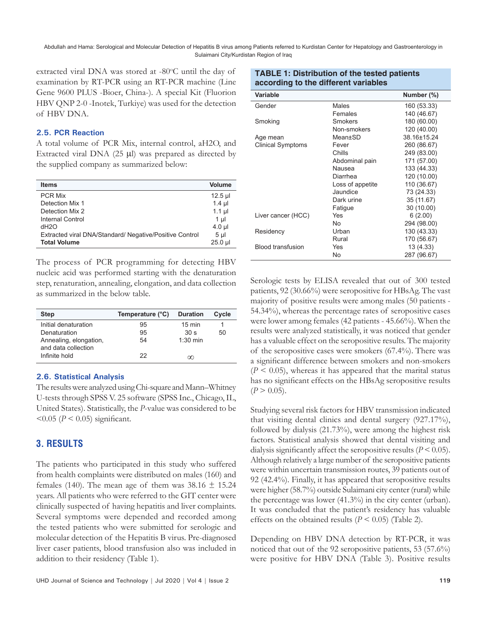extracted viral DNA was stored at -80°C until the day of examination by RT-PCR using an RT-PCR machine (Line Gene 9600 PLUS -Bioer, China-). A special Kit (Fluorion HBV QNP 2-0 -Inotek, Turkiye) was used for the detection of HBV DNA.

#### **2.5. PCR Reaction**

A total volume of PCR Mix, internal control, aH2O, and Extracted viral DNA (25 μl) was prepared as directed by the supplied company as summarized below:

| <b>Items</b>                                            | <b>Volume</b>  |
|---------------------------------------------------------|----------------|
| <b>PCR Mix</b>                                          | $12.5$ µl      |
| Detection Mix 1                                         | $1.4$ µl       |
| Detection Mix 2                                         | $1.1$ µl       |
| Internal Control                                        | 1 ul           |
| dH <sub>2</sub> O                                       | $4.0$ µl       |
| Extracted viral DNA/Standard/ Negative/Positive Control | 5 <sub>µ</sub> |
| <b>Total Volume</b>                                     | $25.0$ µl      |

The process of PCR programming for detecting HBV nucleic acid was performed starting with the denaturation step, renaturation, annealing, elongation, and data collection as summarized in the below table.

| <b>Step</b>                                   | Temperature (°C) | <b>Duration</b>  | Cycle |
|-----------------------------------------------|------------------|------------------|-------|
| Initial denaturation                          | 95               | $15 \text{ min}$ |       |
| Denaturation                                  | 95               | 30 <sub>s</sub>  | 50    |
| Annealing, elongation,<br>and data collection | 54               | $1.30$ min       |       |
| Infinite hold                                 | 22               | ന                |       |

#### **2.6. Statistical Analysis**

The results were analyzed using Chi-square and Mann–Whitney U-tests through SPSS V. 25 software (SPSS Inc., Chicago, IL, United States). Statistically, the *P*-value was considered to be  $< 0.05$  ( $P < 0.05$ ) significant.

#### **3. RESULTS**

The patients who participated in this study who suffered from health complaints were distributed on males (160) and females (140). The mean age of them was  $38.16 \pm 15.24$ years. All patients who were referred to the GIT center were clinically suspected of having hepatitis and liver complaints. Several symptoms were depended and recorded among the tested patients who were submitted for serologic and molecular detection of the Hepatitis B virus. Pre-diagnosed liver caser patients, blood transfusion also was included in addition to their residency (Table 1).

| according to the different variables |                |             |  |
|--------------------------------------|----------------|-------------|--|
| Variable                             |                | Number (%)  |  |
| Gender                               | Males          | 160 (53.33) |  |
|                                      | Females        | 140 (46.67) |  |
| Smoking                              | <b>Smokers</b> | 180 (60.00) |  |
|                                      | Non-smokers    | 120 (40.00) |  |
| Age mean                             | Mean±SD        | 38.16±15.24 |  |

**TABLE 1: Distribution of the tested patients** 

| <b>SMOKING</b>           | SMOKERS          | 180 (60.00) |
|--------------------------|------------------|-------------|
|                          | Non-smokers      | 120 (40.00) |
| Age mean                 | Mean±SD          | 38.16±15.24 |
| <b>Clinical Symptoms</b> | Fever            | 260 (86.67) |
|                          | Chills           | 249 (83.00) |
|                          | Abdominal pain   | 171 (57.00) |
|                          | Nausea           | 133 (44.33) |
|                          | Diarrhea         | 120 (10.00) |
|                          | Loss of appetite | 110 (36.67) |
|                          | Jaundice         | 73 (24.33)  |
|                          | Dark urine       | 35 (11.67)  |
|                          | Fatigue          | 30 (10.00)  |
| Liver cancer (HCC)       | Yes              | 6(2.00)     |
|                          | No               | 294 (98.00) |
| Residency                | Urban            | 130 (43.33) |
|                          | Rural            | 170 (56.67) |
| <b>Blood transfusion</b> | Yes              | 13 (4.33)   |
|                          | No               | 287 (96.67) |

Serologic tests by ELISA revealed that out of 300 tested patients, 92 (30.66%) were seropositive for HBsAg. The vast majority of positive results were among males (50 patients - 54.34%), whereas the percentage rates of seropositive cases were lower among females (42 patients - 45.66%). When the results were analyzed statistically, it was noticed that gender has a valuable effect on the seropositive results. The majority of the seropositive cases were smokers (67.4%). There was a significant difference between smokers and non-smokers  $(P < 0.05)$ , whereas it has appeared that the marital status has no significant effects on the HBsAg seropositive results  $(P > 0.05)$ .

Studying several risk factors for HBV transmission indicated that visiting dental clinics and dental surgery (927.17%), followed by dialysis (21.73%), were among the highest risk factors. Statistical analysis showed that dental visiting and dialysis significantly affect the seropositive results (*P* < 0.05). Although relatively a large number of the seropositive patients were within uncertain transmission routes, 39 patients out of 92 (42.4%). Finally, it has appeared that seropositive results were higher (58.7%) outside Sulaimani city center (rural) while the percentage was lower (41.3%) in the city center (urban). It was concluded that the patient's residency has valuable effects on the obtained results  $(P < 0.05)$  (Table 2).

Depending on HBV DNA detection by RT-PCR, it was noticed that out of the 92 seropositive patients, 53 (57.6%) were positive for HBV DNA (Table 3). Positive results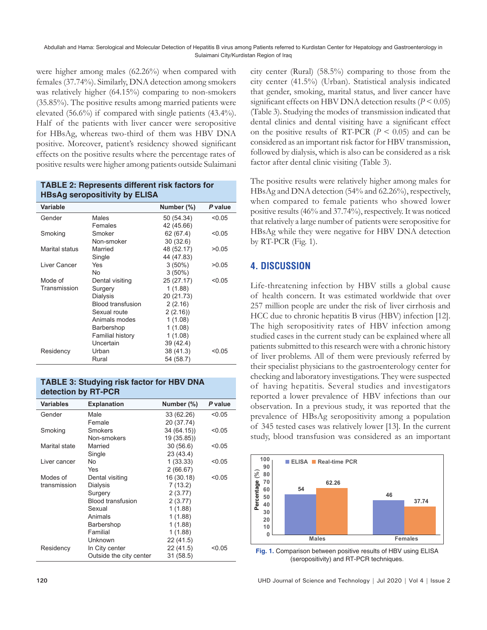were higher among males (62.26%) when compared with females (37.74%). Similarly, DNA detection among smokers was relatively higher (64.15%) comparing to non-smokers (35.85%). The positive results among married patients were elevated (56.6%) if compared with single patients (43.4%). Half of the patients with liver cancer were seropositive for HBsAg, whereas two-third of them was HBV DNA positive. Moreover, patient's residency showed significant effects on the positive results where the percentage rates of positive results were higher among patients outside Sulaimani

| HBSAG Seropositivity by ELISA |                          |            |         |
|-------------------------------|--------------------------|------------|---------|
| Variable                      |                          | Number (%) | P value |
| Gender                        | Males                    | 50 (54.34) | < 0.05  |
|                               | Females                  | 42 (45.66) |         |
| Smoking                       | Smoker                   | 62 (67.4)  | < 0.05  |
|                               | Non-smoker               | 30(32.6)   |         |
| Marital status                | Married                  | 48 (52.17) | >0.05   |
|                               | Single                   | 44 (47.83) |         |
| Liver Cancer                  | Yes                      | $3(50\%)$  | >0.05   |
|                               | No                       | $3(50\%)$  |         |
| Mode of                       | Dental visiting          | 25 (27.17) | < 0.05  |
| Transmission                  | Surgery                  | 1(1.88)    |         |
|                               | Dialysis                 | 20 (21.73) |         |
|                               | <b>Blood transfusion</b> | 2(2.16)    |         |
|                               | Sexual route             | 2(2.16)    |         |
|                               | Animals modes            | 1(1.08)    |         |
|                               | Barbershop               | 1(1.08)    |         |
|                               | Familial history         | 1(1.08)    |         |
|                               | Uncertain                | 39 (42.4)  |         |
| Residency                     | Urban                    | 38 (41.3)  | <0.05   |
|                               | Rural                    | 54 (58.7)  |         |

#### **TABLE 2: Represents different risk factors for HBsAg seropositivity by ELISA**

| <b>TABLE 3: Studying risk factor for HBV DNA</b> |  |
|--------------------------------------------------|--|
| detection by RT-PCR                              |  |

| <b>Variables</b> | <b>Explanation</b>       | Number (%)  | P value |
|------------------|--------------------------|-------------|---------|
| Gender           | Male                     | 33 (62.26)  | < 0.05  |
|                  | Female                   | 20 (37.74)  |         |
| Smoking          | Smokers                  | 34 (64.15)) | < 0.05  |
|                  | Non-smokers              | 19 (35.85)) |         |
| Marital state    | Married                  | 30(56.6)    | < 0.05  |
|                  | Single                   | 23 (43.4)   |         |
| Liver cancer     | No                       | 1(33.33)    | < 0.05  |
|                  | Yes                      | 2(66.67)    |         |
| Modes of         | Dental visiting          | 16 (30.18)  | < 0.05  |
| transmission     | Dialysis                 | 7(13.2)     |         |
|                  | Surgery                  | 2(3.77)     |         |
|                  | <b>Blood transfusion</b> | 2(3.77)     |         |
|                  | Sexual                   | 1(1.88)     |         |
|                  | Animals                  | 1 (1.88)    |         |
|                  | Barbershop               | 1 (1.88)    |         |
|                  | Familial                 | 1(1.88)     |         |
|                  | Unknown                  | 22 (41.5)   |         |
| Residency        | In City center           | 22 (41.5)   | < 0.05  |
|                  | Outside the city center  | 31(58.5)    |         |

city center (Rural) (58.5%) comparing to those from the city center (41.5%) (Urban). Statistical analysis indicated that gender, smoking, marital status, and liver cancer have significant effects on HBV DNA detection results (*P* < 0.05) (Table 3). Studying the modes of transmission indicated that dental clinics and dental visiting have a significant effect on the positive results of RT-PCR  $(P < 0.05)$  and can be considered as an important risk factor for HBV transmission, followed by dialysis, which is also can be considered as a risk factor after dental clinic visiting (Table 3).

The positive results were relatively higher among males for HBsAg and DNA detection (54% and 62.26%), respectively, when compared to female patients who showed lower positive results (46% and 37.74%), respectively. It was noticed that relatively a large number of patients were seropositive for HBsAg while they were negative for HBV DNA detection by RT-PCR (Fig. 1).

## **4. DISCUSSION**

Life-threatening infection by HBV stills a global cause of health concern. It was estimated worldwide that over 257 million people are under the risk of liver cirrhosis and HCC due to chronic hepatitis B virus (HBV) infection [12]. The high seropositivity rates of HBV infection among studied cases in the current study can be explained where all patients submitted to this research were with a chronic history of liver problems. All of them were previously referred by their specialist physicians to the gastroenterology center for checking and laboratory investigations. They were suspected of having hepatitis. Several studies and investigators reported a lower prevalence of HBV infections than our observation. In a previous study, it was reported that the prevalence of HBsAg seropositivity among a population of 345 tested cases was relatively lower [13]. In the current study, blood transfusion was considered as an important



**Fig. 1.** Comparison between positive results of HBV using ELISA (seropositivity) and RT-PCR techniques.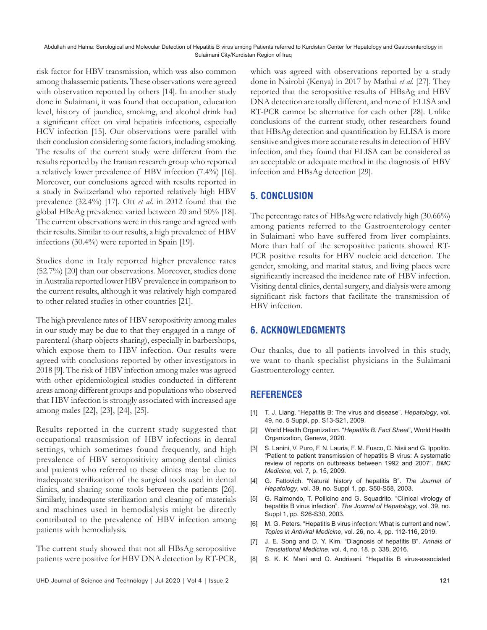risk factor for HBV transmission, which was also common among thalassemic patients. These observations were agreed with observation reported by others [14]. In another study done in Sulaimani, it was found that occupation, education level, history of jaundice, smoking, and alcohol drink had a significant effect on viral hepatitis infections, especially HCV infection [15]. Our observations were parallel with their conclusion considering some factors, including smoking. The results of the current study were different from the results reported by the Iranian research group who reported a relatively lower prevalence of HBV infection (7.4%) [16]. Moreover, our conclusions agreed with results reported in a study in Switzerland who reported relatively high HBV prevalence (32.4%) [17]. Ott *et al*. in 2012 found that the global HBeAg prevalence varied between 20 and 50% [18]. The current observations were in this range and agreed with their results. Similar to our results, a high prevalence of HBV infections (30.4%) were reported in Spain [19].

Studies done in Italy reported higher prevalence rates (52.7%) [20] than our observations. Moreover, studies done in Australia reported lower HBV prevalence in comparison to the current results, although it was relatively high compared to other related studies in other countries [21].

The high prevalence rates of HBV seropositivity among males in our study may be due to that they engaged in a range of parenteral (sharp objects sharing), especially in barbershops, which expose them to HBV infection. Our results were agreed with conclusions reported by other investigators in 2018 [9]. The risk of HBV infection among males was agreed with other epidemiological studies conducted in different areas among different groups and populations who observed that HBV infection is strongly associated with increased age among males [22], [23], [24], [25].

Results reported in the current study suggested that occupational transmission of HBV infections in dental settings, which sometimes found frequently, and high prevalence of HBV seropositivity among dental clinics and patients who referred to these clinics may be due to inadequate sterilization of the surgical tools used in dental clinics, and sharing some tools between the patients [26]. Similarly, inadequate sterilization and cleaning of materials and machines used in hemodialysis might be directly contributed to the prevalence of HBV infection among patients with hemodialysis.

The current study showed that not all HBsAg seropositive patients were positive for HBV DNA detection by RT-PCR, which was agreed with observations reported by a study done in Nairobi (Kenya) in 2017 by Mathai *et al*. [27]. They reported that the seropositive results of HBsAg and HBV DNA detection are totally different, and none of ELISA and RT-PCR cannot be alternative for each other [28]. Unlike conclusions of the current study, other researchers found that HBsAg detection and quantification by ELISA is more sensitive and gives more accurate results in detection of HBV infection, and they found that ELISA can be considered as an acceptable or adequate method in the diagnosis of HBV infection and HBsAg detection [29].

# **5. CONCLUSION**

The percentage rates of HBsAg were relatively high (30.66%) among patients referred to the Gastroenterology center in Sulaimani who have suffered from liver complaints. More than half of the seropositive patients showed RT-PCR positive results for HBV nucleic acid detection. The gender, smoking, and marital status, and living places were significantly increased the incidence rate of HBV infection. Visiting dental clinics, dental surgery, and dialysis were among significant risk factors that facilitate the transmission of HBV infection.

## **6. ACKNOWLEDGMENTS**

Our thanks, due to all patients involved in this study, we want to thank specialist physicians in the Sulaimani Gastroenterology center.

## **REFERENCES**

- [1] T. J. Liang. "Hepatitis B: The virus and disease". *Hepatology*, vol. 49, no. 5 Suppl, pp. S13-S21, 2009.
- [2] World Health Organization. "*Hepatitis B: Fact Sheet*", World Health Organization, Geneva, 2020.
- [3] S. Lanini, V. Puro, F. N. Lauria, F. M. Fusco, C. Nisii and G. Ippolito. "Patient to patient transmission of hepatitis B virus: A systematic review of reports on outbreaks between 1992 and 2007". *BMC Medicine*, vol. 7, p. 15, 2009.
- [4] G. Fattovich. "Natural history of hepatitis B". *The Journal of Hepatology*, vol. 39, no. Suppl 1, pp. S50-S58, 2003.
- [5] G. Raimondo, T. Pollicino and G. Squadrito. "Clinical virology of hepatitis B virus infection". *The Journal of Hepatology*, vol. 39, no. Suppl 1, pp. S26-S30, 2003.
- [6] M. G. Peters. "Hepatitis B virus infection: What is current and new". *Topics in Antiviral Medicine*, vol. 26, no. 4, pp. 112-116, 2019.
- [7] J. E. Song and D. Y. Kim. "Diagnosis of hepatitis B". *Annals of Translational Medicine*, vol. 4, no. 18, p. 338, 2016.
- [8] S. K. K. Mani and O. Andrisani. "Hepatitis B virus-associated